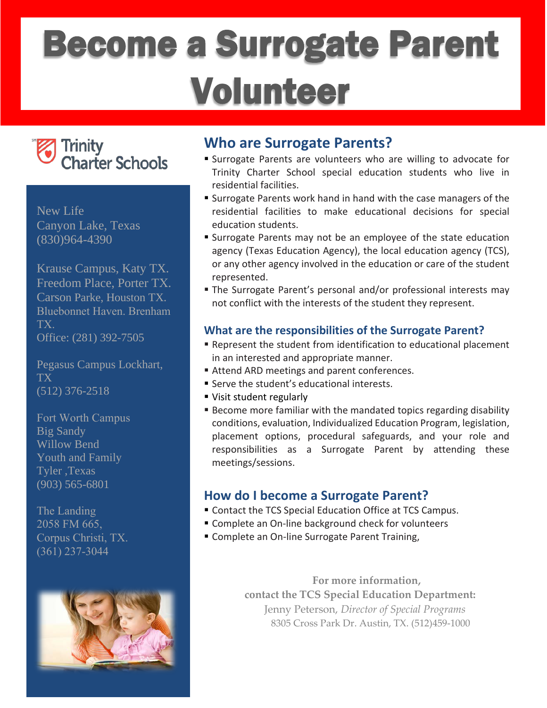# Become a Surrogate Parent Volunteer



New Life Canyon Lake, Texas (830)964-4390

Krause Campus, Katy TX. Freedom Place, Porter TX. Carson Parke, Houston TX. Bluebonnet Haven. Brenham TX. Office: (281) 392-7505

Pegasus Campus Lockhart, TX (512) 376-2518

Fort Worth Campus Big Sandy Willow Bend Youth and Family Tyler ,Texas (903) 565-6801

The Landing 2058 FM 665, Corpus Christi, TX. (361) 237-3044



## **Who are Surrogate Parents?**

- Surrogate Parents are volunteers who are willing to advocate for Trinity Charter School special education students who live in residential facilities.
- Surrogate Parents work hand in hand with the case managers of the residential facilities to make educational decisions for special education students.
- Surrogate Parents may not be an employee of the state education agency (Texas Education Agency), the local education agency (TCS), or any other agency involved in the education or care of the student represented.
- The Surrogate Parent's personal and/or professional interests may not conflict with the interests of the student they represent.

## **What are the responsibilities of the Surrogate Parent?**

- Represent the student from identification to educational placement in an interested and appropriate manner.
- Attend ARD meetings and parent conferences.
- Serve the student's educational interests.
- Visit student regularly
- **Become more familiar with the mandated topics regarding disability** conditions, evaluation, Individualized Education Program, legislation, placement options, procedural safeguards, and your role and responsibilities as a Surrogate Parent by attending these meetings/sessions.

## **How do I become a Surrogate Parent?**

- Contact the TCS Special Education Office at TCS Campus.
- Complete an On-line background check for volunteers
- **Complete an On-line Surrogate Parent Training,**

**For more information, contact the TCS Special Education Department:** Jenny Peterson, *Director of Special Programs* 8305 Cross Park Dr. Austin, TX. (512)459-1000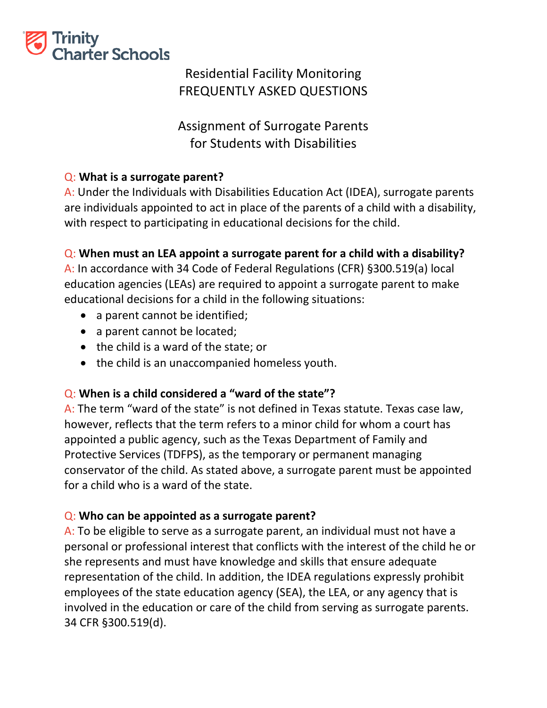

# Residential Facility Monitoring FREQUENTLY ASKED QUESTIONS

Assignment of Surrogate Parents for Students with Disabilities

## Q: **What is a surrogate parent?**

A: Under the Individuals with Disabilities Education Act (IDEA), surrogate parents are individuals appointed to act in place of the parents of a child with a disability, with respect to participating in educational decisions for the child.

## Q: **When must an LEA appoint a surrogate parent for a child with a disability?**

A: In accordance with 34 Code of Federal Regulations (CFR) §300.519(a) local education agencies (LEAs) are required to appoint a surrogate parent to make educational decisions for a child in the following situations:

- a parent cannot be identified;
- a parent cannot be located;
- the child is a ward of the state; or
- the child is an unaccompanied homeless youth.

## Q: **When is a child considered a "ward of the state"?**

A: The term "ward of the state" is not defined in Texas statute. Texas case law, however, reflects that the term refers to a minor child for whom a court has appointed a public agency, such as the Texas Department of Family and Protective Services (TDFPS), as the temporary or permanent managing conservator of the child. As stated above, a surrogate parent must be appointed for a child who is a ward of the state.

## Q: **Who can be appointed as a surrogate parent?**

A: To be eligible to serve as a surrogate parent, an individual must not have a personal or professional interest that conflicts with the interest of the child he or she represents and must have knowledge and skills that ensure adequate representation of the child. In addition, the IDEA regulations expressly prohibit employees of the state education agency (SEA), the LEA, or any agency that is involved in the education or care of the child from serving as surrogate parents. 34 CFR §300.519(d).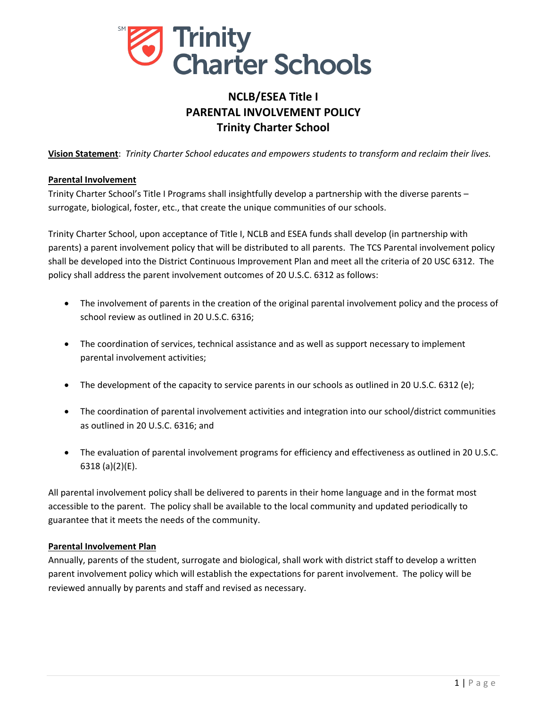

## **NCLB/ESEA Title I PARENTAL INVOLVEMENT POLICY Trinity Charter School**

**Vision Statement**: *Trinity Charter School educates and empowers students to transform and reclaim their lives.*

#### **Parental Involvement**

Trinity Charter School's Title I Programs shall insightfully develop a partnership with the diverse parents – surrogate, biological, foster, etc., that create the unique communities of our schools.

Trinity Charter School, upon acceptance of Title I, NCLB and ESEA funds shall develop (in partnership with parents) a parent involvement policy that will be distributed to all parents. The TCS Parental involvement policy shall be developed into the District Continuous Improvement Plan and meet all the criteria of 20 USC 6312. The policy shall address the parent involvement outcomes of 20 U.S.C. 6312 as follows:

- The involvement of parents in the creation of the original parental involvement policy and the process of school review as outlined in 20 U.S.C. 6316;
- The coordination of services, technical assistance and as well as support necessary to implement parental involvement activities;
- The development of the capacity to service parents in our schools as outlined in 20 U.S.C. 6312 (e);
- The coordination of parental involvement activities and integration into our school/district communities as outlined in 20 U.S.C. 6316; and
- The evaluation of parental involvement programs for efficiency and effectiveness as outlined in 20 U.S.C. 6318 (a)(2)(E).

All parental involvement policy shall be delivered to parents in their home language and in the format most accessible to the parent. The policy shall be available to the local community and updated periodically to guarantee that it meets the needs of the community.

#### **Parental Involvement Plan**

Annually, parents of the student, surrogate and biological, shall work with district staff to develop a written parent involvement policy which will establish the expectations for parent involvement. The policy will be reviewed annually by parents and staff and revised as necessary.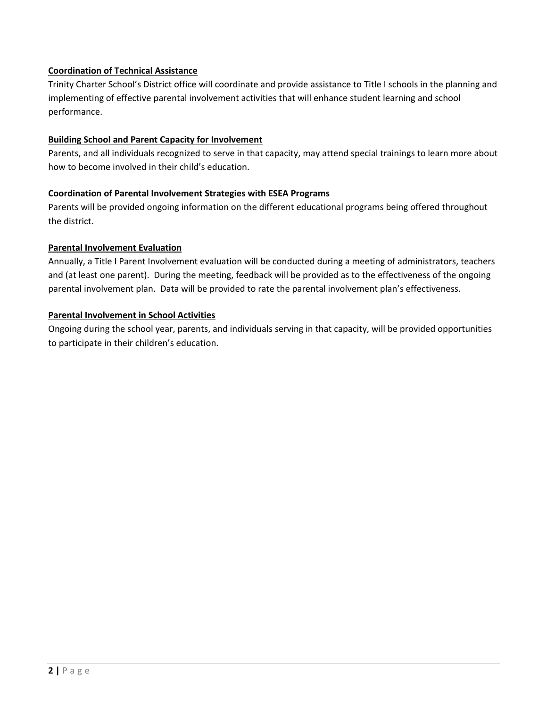#### **Coordination of Technical Assistance**

Trinity Charter School's District office will coordinate and provide assistance to Title I schools in the planning and implementing of effective parental involvement activities that will enhance student learning and school performance.

#### **Building School and Parent Capacity for Involvement**

Parents, and all individuals recognized to serve in that capacity, may attend special trainings to learn more about how to become involved in their child's education.

#### **Coordination of Parental Involvement Strategies with ESEA Programs**

Parents will be provided ongoing information on the different educational programs being offered throughout the district.

#### **Parental Involvement Evaluation**

Annually, a Title I Parent Involvement evaluation will be conducted during a meeting of administrators, teachers and (at least one parent). During the meeting, feedback will be provided as to the effectiveness of the ongoing parental involvement plan. Data will be provided to rate the parental involvement plan's effectiveness.

#### **Parental Involvement in School Activities**

Ongoing during the school year, parents, and individuals serving in that capacity, will be provided opportunities to participate in their children's education.